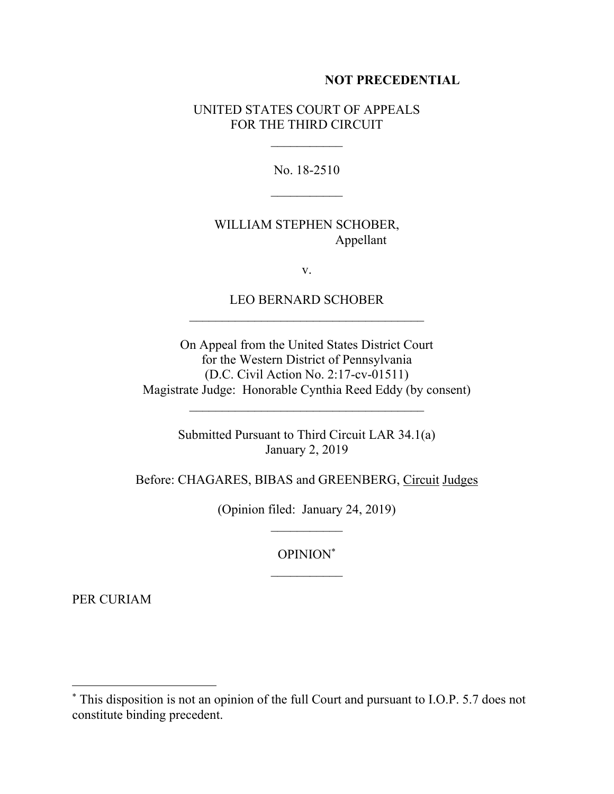## **NOT PRECEDENTIAL**

## UNITED STATES COURT OF APPEALS FOR THE THIRD CIRCUIT

No. 18-2510  $\frac{1}{2}$ 

WILLIAM STEPHEN SCHOBER, Appellant

v.

LEO BERNARD SCHOBER  $\mathcal{L}_\text{max} = \frac{1}{2} \sum_{i=1}^n \mathcal{L}_i \mathcal{L}_i$ 

On Appeal from the United States District Court for the Western District of Pennsylvania (D.C. Civil Action No. 2:17-cv-01511) Magistrate Judge: Honorable Cynthia Reed Eddy (by consent)

> Submitted Pursuant to Third Circuit LAR 34.1(a) January 2, 2019

Before: CHAGARES, BIBAS and GREENBERG, Circuit Judges

(Opinion filed: January 24, 2019)  $\mathcal{L}_\text{max}$ 

> OPINION\*  $\frac{1}{2}$

PER CURIAM

 $\overline{a}$ 

<sup>\*</sup> This disposition is not an opinion of the full Court and pursuant to I.O.P. 5.7 does not constitute binding precedent.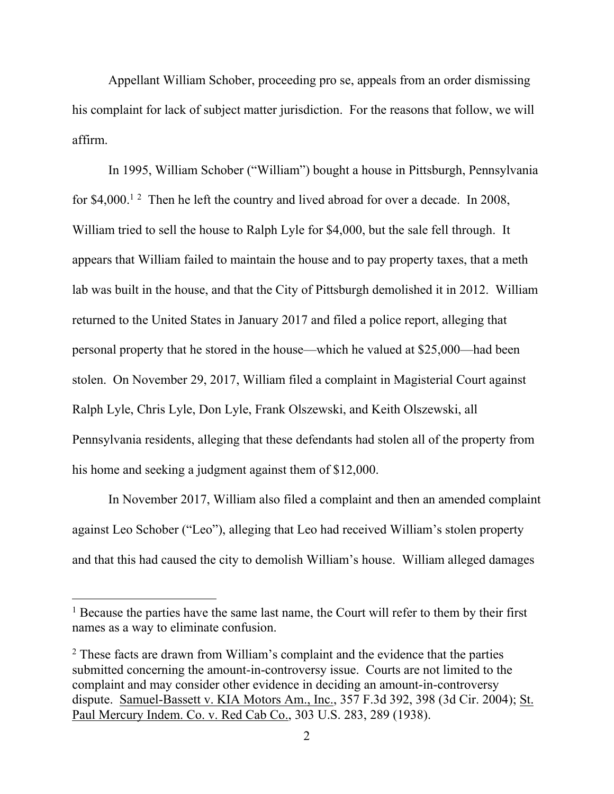Appellant William Schober, proceeding pro se, appeals from an order dismissing his complaint for lack of subject matter jurisdiction. For the reasons that follow, we will affirm.

In 1995, William Schober ("William") bought a house in Pittsburgh, Pennsylvania for \$4,000.<sup>12</sup> Then he left the country and lived abroad for over a decade. In 2008, William tried to sell the house to Ralph Lyle for \$4,000, but the sale fell through. It appears that William failed to maintain the house and to pay property taxes, that a meth lab was built in the house, and that the City of Pittsburgh demolished it in 2012. William returned to the United States in January 2017 and filed a police report, alleging that personal property that he stored in the house—which he valued at \$25,000—had been stolen. On November 29, 2017, William filed a complaint in Magisterial Court against Ralph Lyle, Chris Lyle, Don Lyle, Frank Olszewski, and Keith Olszewski, all Pennsylvania residents, alleging that these defendants had stolen all of the property from his home and seeking a judgment against them of \$12,000.

In November 2017, William also filed a complaint and then an amended complaint against Leo Schober ("Leo"), alleging that Leo had received William's stolen property and that this had caused the city to demolish William's house. William alleged damages

<sup>&</sup>lt;sup>1</sup> Because the parties have the same last name, the Court will refer to them by their first names as a way to eliminate confusion.

<sup>&</sup>lt;sup>2</sup> These facts are drawn from William's complaint and the evidence that the parties submitted concerning the amount-in-controversy issue. Courts are not limited to the complaint and may consider other evidence in deciding an amount-in-controversy dispute. Samuel-Bassett v. KIA Motors Am., Inc., 357 F.3d 392, 398 (3d Cir. 2004); St. Paul Mercury Indem. Co. v. Red Cab Co., 303 U.S. 283, 289 (1938).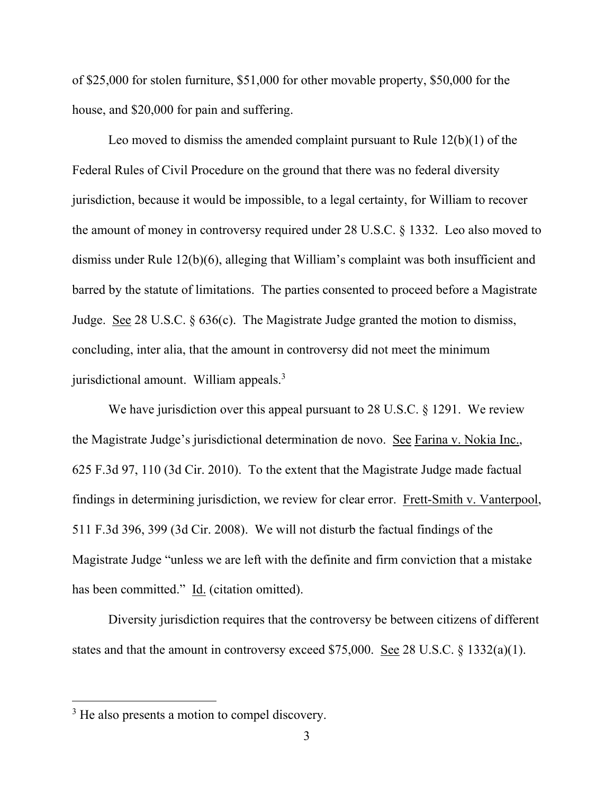of \$25,000 for stolen furniture, \$51,000 for other movable property, \$50,000 for the house, and \$20,000 for pain and suffering.

Leo moved to dismiss the amended complaint pursuant to Rule 12(b)(1) of the Federal Rules of Civil Procedure on the ground that there was no federal diversity jurisdiction, because it would be impossible, to a legal certainty, for William to recover the amount of money in controversy required under 28 U.S.C. § 1332. Leo also moved to dismiss under Rule 12(b)(6), alleging that William's complaint was both insufficient and barred by the statute of limitations. The parties consented to proceed before a Magistrate Judge. See 28 U.S.C. § 636(c). The Magistrate Judge granted the motion to dismiss, concluding, inter alia, that the amount in controversy did not meet the minimum jurisdictional amount. William appeals.<sup>3</sup>

We have jurisdiction over this appeal pursuant to 28 U.S.C. § 1291. We review the Magistrate Judge's jurisdictional determination de novo. See Farina v. Nokia Inc., 625 F.3d 97, 110 (3d Cir. 2010). To the extent that the Magistrate Judge made factual findings in determining jurisdiction, we review for clear error. Frett-Smith v. Vanterpool, 511 F.3d 396, 399 (3d Cir. 2008). We will not disturb the factual findings of the Magistrate Judge "unless we are left with the definite and firm conviction that a mistake has been committed." Id. (citation omitted).

Diversity jurisdiction requires that the controversy be between citizens of different states and that the amount in controversy exceed \$75,000. See 28 U.S.C. § 1332(a)(1).

<sup>&</sup>lt;sup>3</sup> He also presents a motion to compel discovery.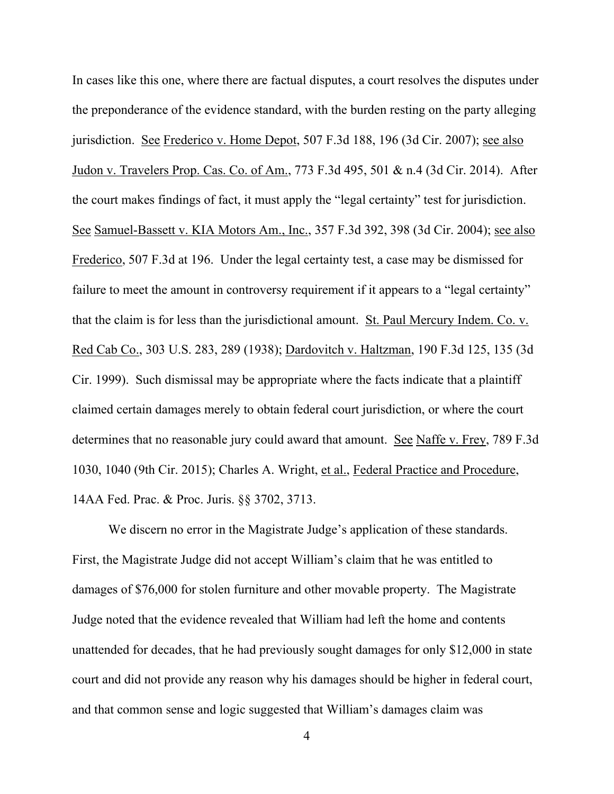In cases like this one, where there are factual disputes, a court resolves the disputes under the preponderance of the evidence standard, with the burden resting on the party alleging jurisdiction. See Frederico v. Home Depot, 507 F.3d 188, 196 (3d Cir. 2007); see also Judon v. Travelers Prop. Cas. Co. of Am., 773 F.3d 495, 501 & n.4 (3d Cir. 2014). After the court makes findings of fact, it must apply the "legal certainty" test for jurisdiction. See Samuel-Bassett v. KIA Motors Am., Inc., 357 F.3d 392, 398 (3d Cir. 2004); see also Frederico, 507 F.3d at 196. Under the legal certainty test, a case may be dismissed for failure to meet the amount in controversy requirement if it appears to a "legal certainty" that the claim is for less than the jurisdictional amount. St. Paul Mercury Indem. Co. v. Red Cab Co., 303 U.S. 283, 289 (1938); Dardovitch v. Haltzman, 190 F.3d 125, 135 (3d Cir. 1999). Such dismissal may be appropriate where the facts indicate that a plaintiff claimed certain damages merely to obtain federal court jurisdiction, or where the court determines that no reasonable jury could award that amount. See Naffe v. Frey, 789 F.3d 1030, 1040 (9th Cir. 2015); Charles A. Wright, et al., Federal Practice and Procedure, 14AA Fed. Prac. & Proc. Juris. §§ 3702, 3713.

We discern no error in the Magistrate Judge's application of these standards. First, the Magistrate Judge did not accept William's claim that he was entitled to damages of \$76,000 for stolen furniture and other movable property. The Magistrate Judge noted that the evidence revealed that William had left the home and contents unattended for decades, that he had previously sought damages for only \$12,000 in state court and did not provide any reason why his damages should be higher in federal court, and that common sense and logic suggested that William's damages claim was

4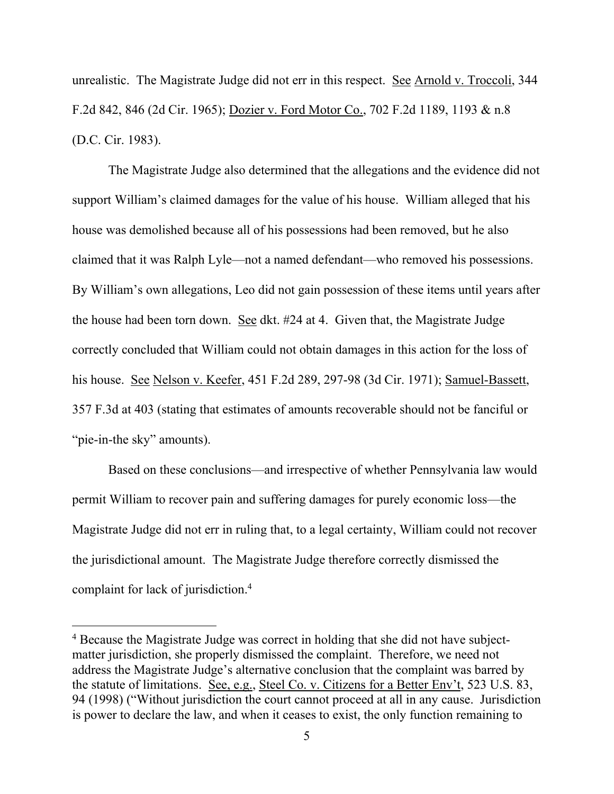unrealistic. The Magistrate Judge did not err in this respect. See Arnold v. Troccoli, 344 F.2d 842, 846 (2d Cir. 1965); Dozier v. Ford Motor Co., 702 F.2d 1189, 1193 & n.8 (D.C. Cir. 1983).

The Magistrate Judge also determined that the allegations and the evidence did not support William's claimed damages for the value of his house. William alleged that his house was demolished because all of his possessions had been removed, but he also claimed that it was Ralph Lyle—not a named defendant—who removed his possessions. By William's own allegations, Leo did not gain possession of these items until years after the house had been torn down. See dkt. #24 at 4. Given that, the Magistrate Judge correctly concluded that William could not obtain damages in this action for the loss of his house. See Nelson v. Keefer, 451 F.2d 289, 297-98 (3d Cir. 1971); Samuel-Bassett, 357 F.3d at 403 (stating that estimates of amounts recoverable should not be fanciful or "pie-in-the sky" amounts).

Based on these conclusions—and irrespective of whether Pennsylvania law would permit William to recover pain and suffering damages for purely economic loss—the Magistrate Judge did not err in ruling that, to a legal certainty, William could not recover the jurisdictional amount. The Magistrate Judge therefore correctly dismissed the complaint for lack of jurisdiction.<sup>4</sup>

 $\overline{a}$ 

<sup>4</sup> Because the Magistrate Judge was correct in holding that she did not have subjectmatter jurisdiction, she properly dismissed the complaint. Therefore, we need not address the Magistrate Judge's alternative conclusion that the complaint was barred by the statute of limitations. See, e.g., Steel Co. v. Citizens for a Better Env't, 523 U.S. 83, 94 (1998) ("Without jurisdiction the court cannot proceed at all in any cause. Jurisdiction is power to declare the law, and when it ceases to exist, the only function remaining to